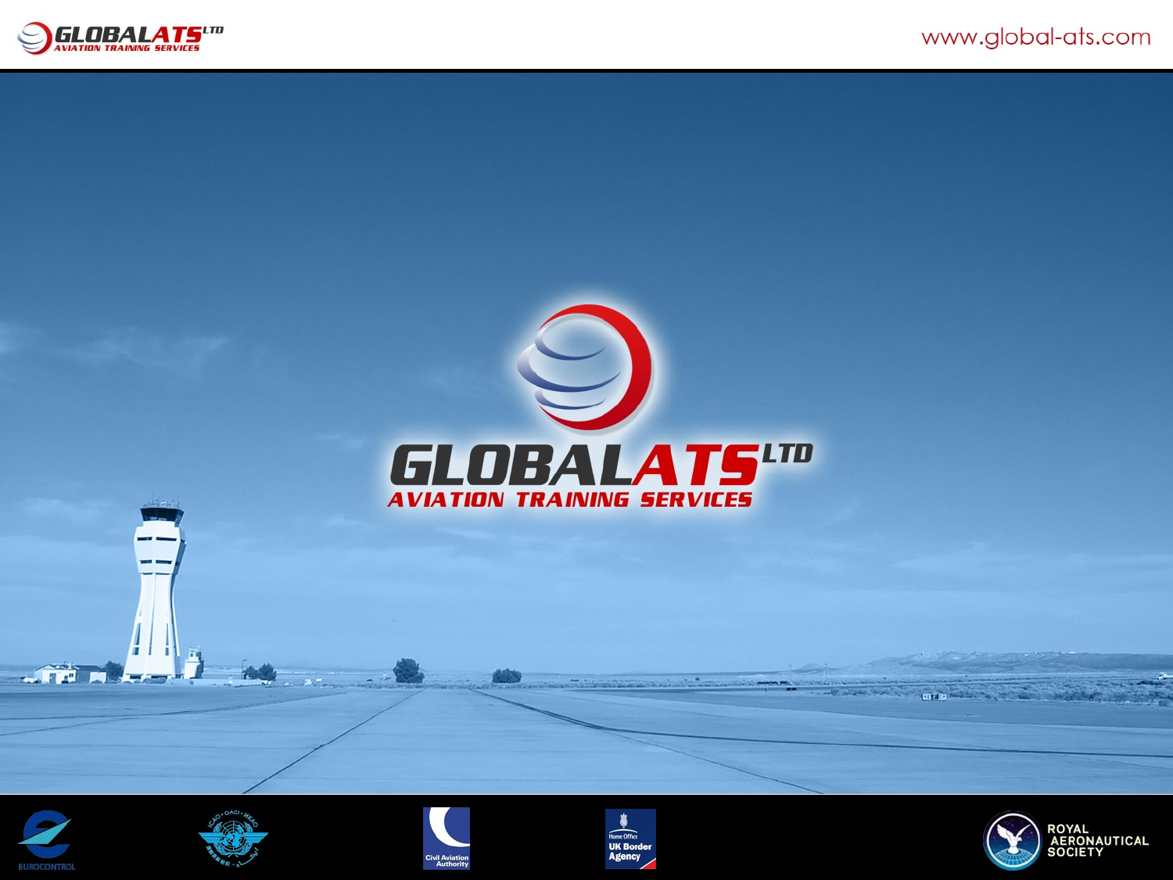













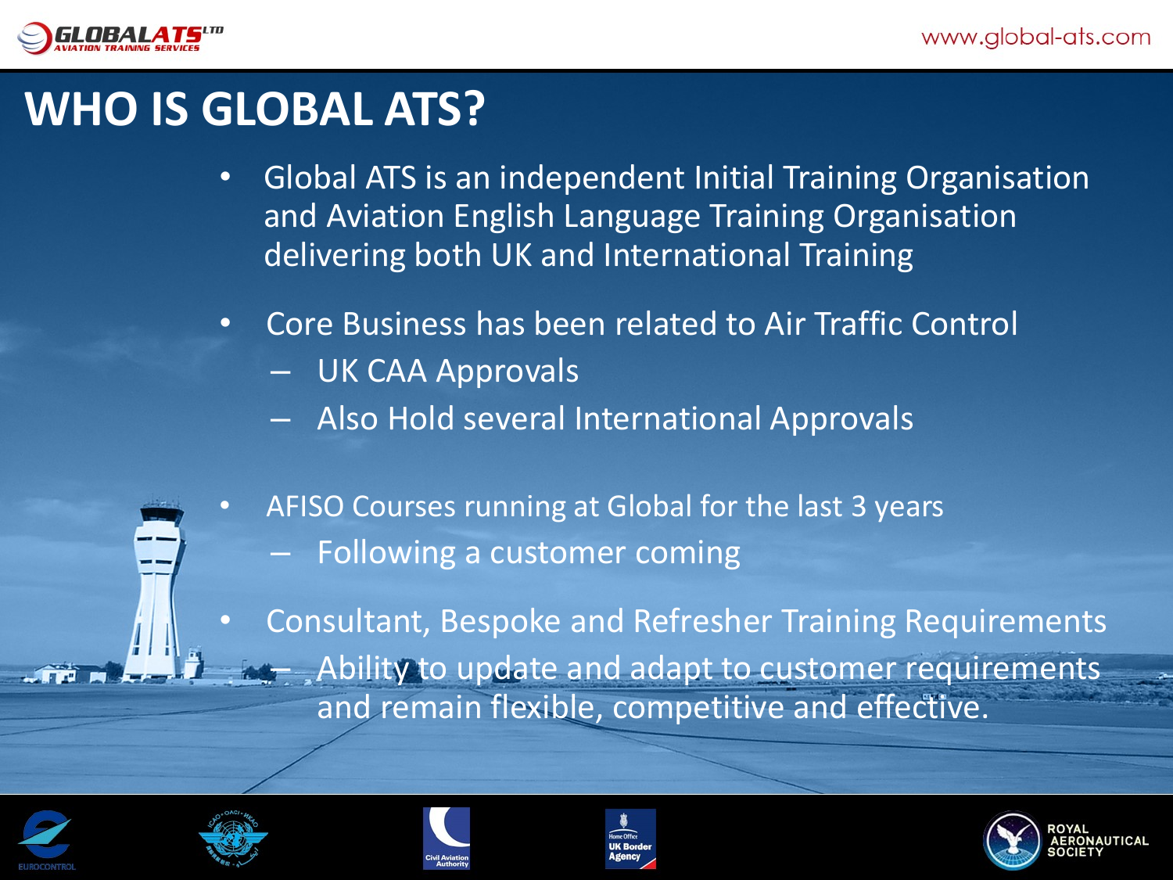

### **WHO IS GLOBAL ATS?**

- Global ATS is an independent Initial Training Organisation and Aviation English Language Training Organisation delivering both UK and International Training
- Core Business has been related to Air Traffic Control
	- UK CAA Approvals
	- Also Hold several International Approvals
	- AFISO Courses running at Global for the last 3 years
		- Following a customer coming

• Consultant, Bespoke and Refresher Training Requirements Ability to update and adapt to customer requirements and remain flexible, competitive and effective.









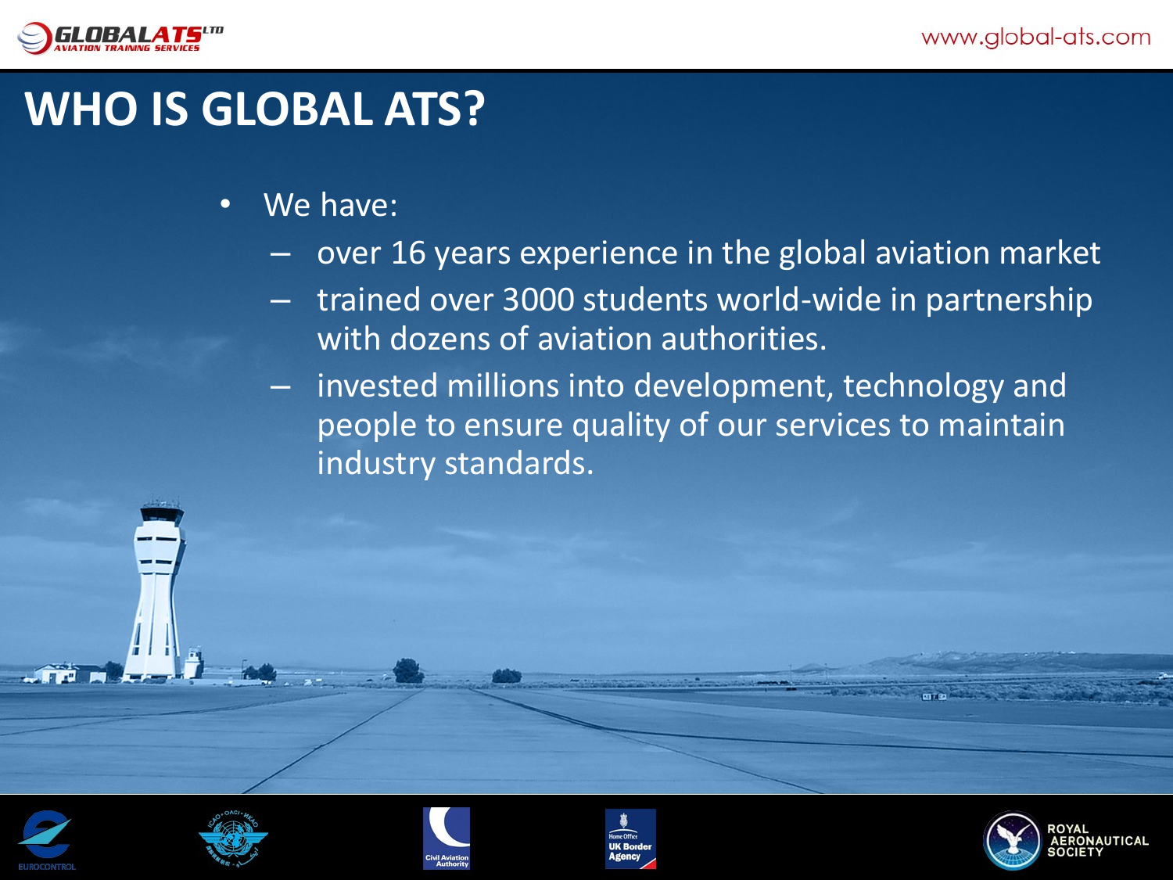

### **WHO IS GLOBAL ATS?**

- We have:
	- over 16 years experience in the global aviation market
	- trained over 3000 students world-wide in partnership with dozens of aviation authorities.
	- invested millions into development, technology and people to ensure quality of our services to maintain industry standards.









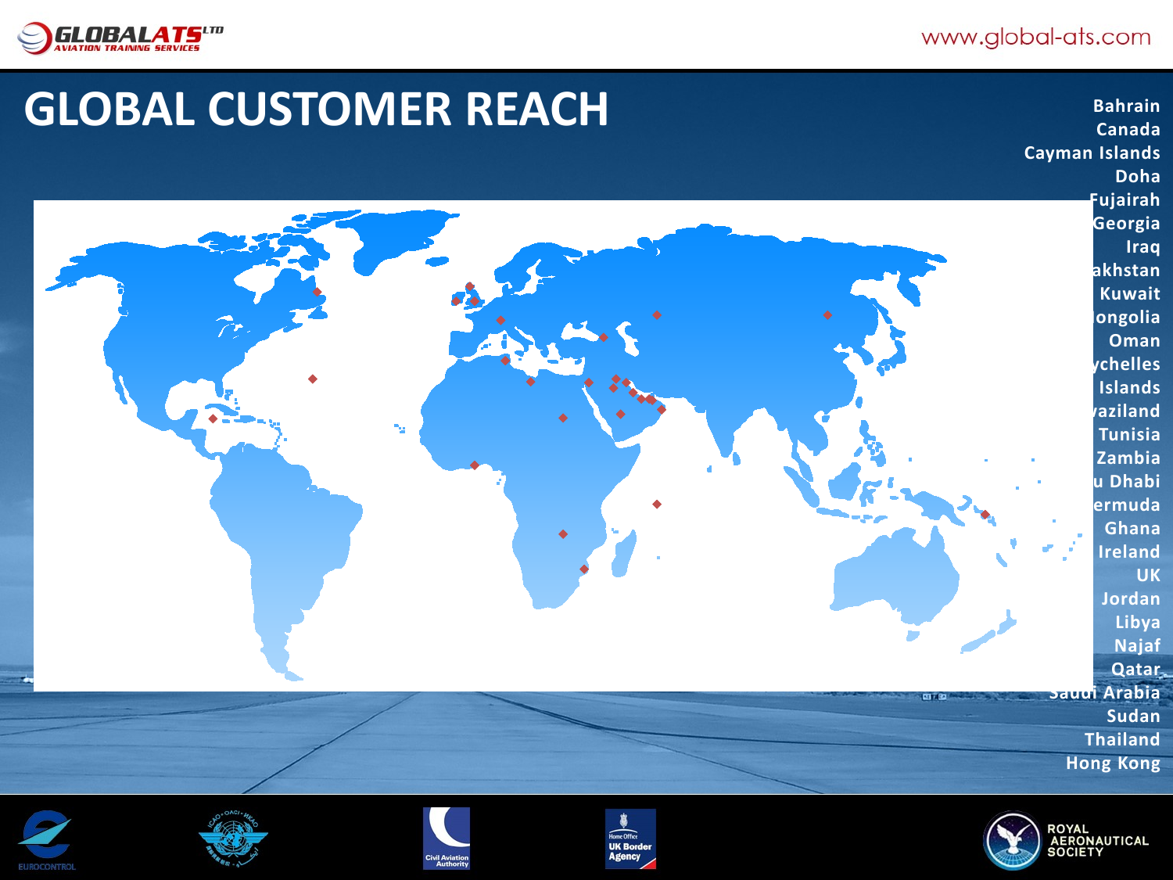

## **GLOBAL CUSTOMER REACH Bahrain**

**Canada Cayman Islands Doha Fujairah Georgia Iraq Kazakhstan Kuwait Mongolia Oman Seychelles Islands Swaziland Tunisia Zambia Abu Dhabi Bermuda Ghana Ireland UK Jordan Libya Najaf Qatar Saudi Arabia Sudan Thailand Hong Kong**









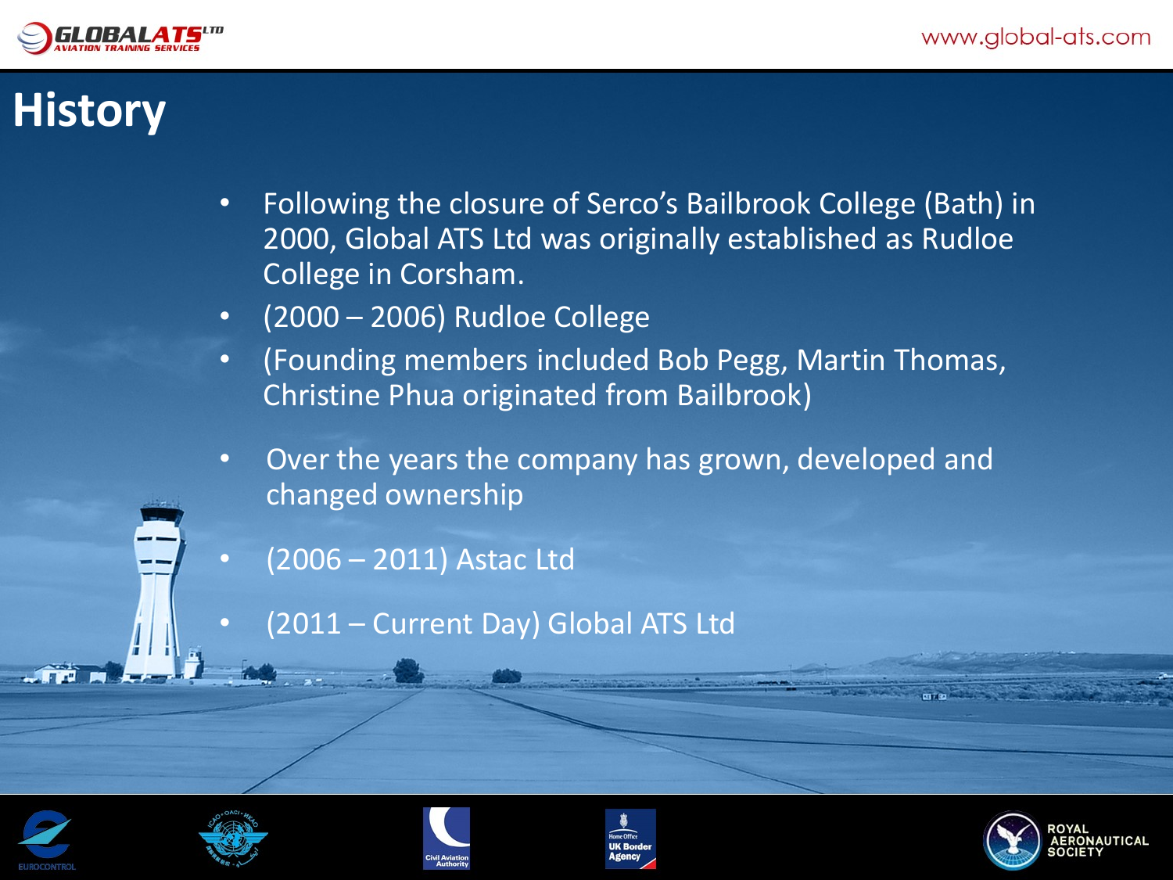

# **History**

- Following the closure of Serco's Bailbrook College (Bath) in 2000, Global ATS Ltd was originally established as Rudloe College in Corsham.
- (2000 2006) Rudloe College
- (Founding members included Bob Pegg, Martin Thomas, Christine Phua originated from Bailbrook)
- Over the years the company has grown, developed and changed ownership
- (2006 2011) Astac Ltd
- (2011 Current Day) Global ATS Ltd









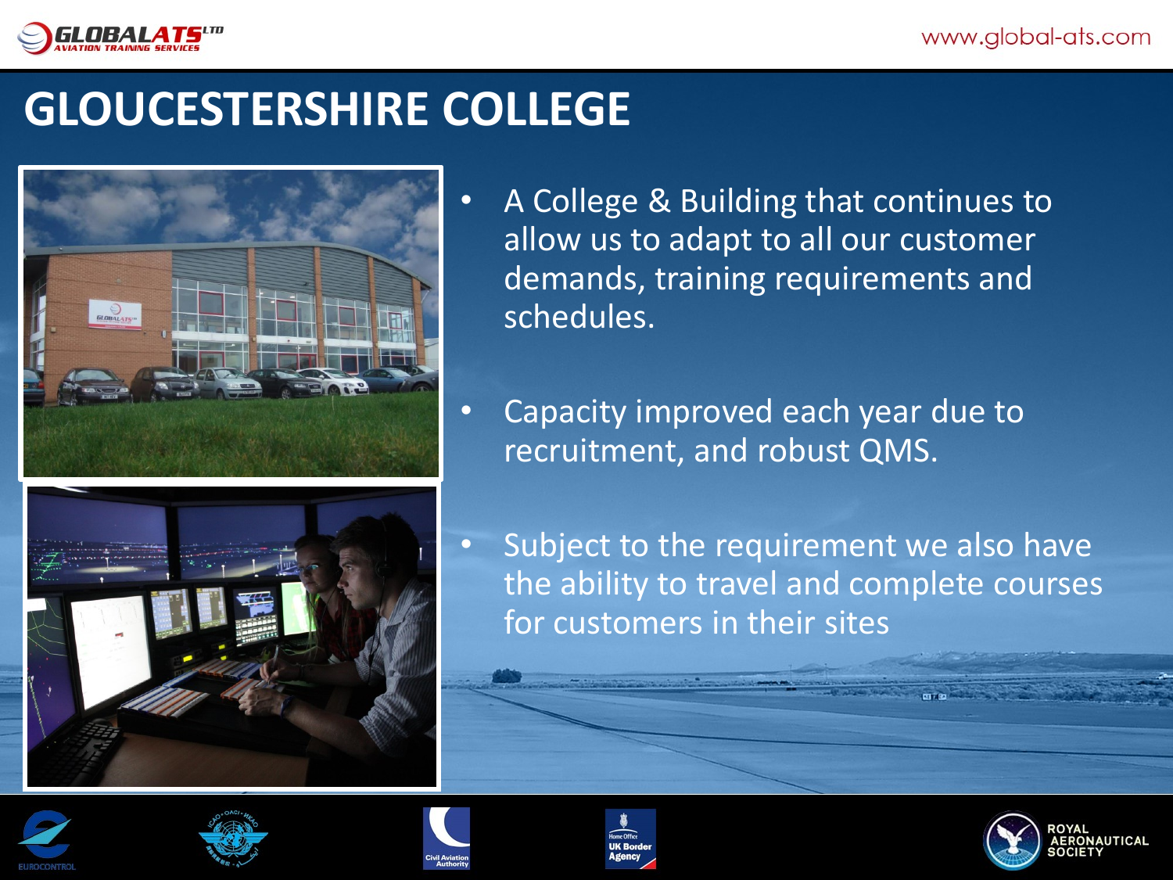

### **GLOUCESTERSHIRE COLLEGE**





- A College & Building that continues to allow us to adapt to all our customer demands, training requirements and schedules.
- Capacity improved each year due to recruitment, and robust QMS.
- Subject to the requirement we also have the ability to travel and complete courses for customers in their sites